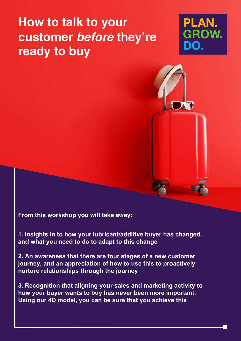# **How to talk to your customer before they're ready to buy**





**From this workshop you will take away:**

**1. Insights in to how your lubricant/additive buyer has changed, and what you need to do to adapt to this change** 

**2. An awareness that there are four stages of a new customer journey, and an appreciation of how to use this to proactively nurture relationships through the journey**

**3. Recognition that aligning your sales and marketing activity to how your buyer wants to buy has never been more important. Using our 4D model, you can be sure that you achieve this**